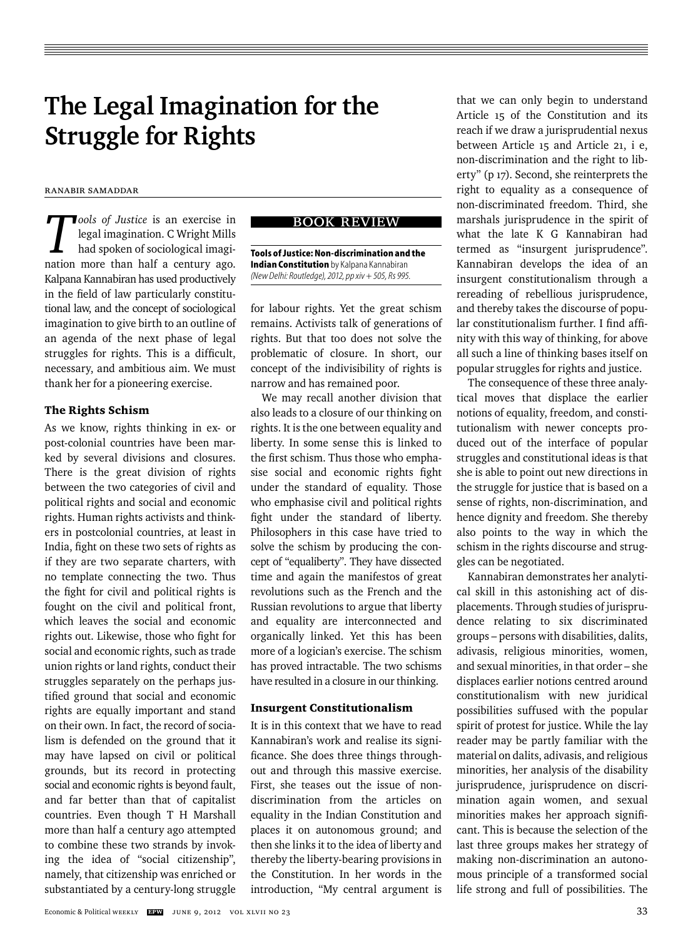# **The Legal Imagination for the Struggle for Rights**

# Ranabir Samaddar

*T ools of Justice* is an exercise in legal imagination. C Wright Mills had spoken of sociological imagination more than half a century ago. Kalpana Kannabiran has used productively in the field of law particularly constitutional law, and the concept of sociological imagination to give birth to an outline of an agenda of the next phase of legal struggles for rights. This is a difficult, necessary, and ambitious aim. We must thank her for a pioneering exercise.

#### The Rights Schism

As we know, rights thinking in ex- or post-colonial countries have been marked by several divisions and closures. There is the great division of rights between the two categories of civil and political rights and social and economic rights. Human rights activists and thinkers in postcolonial countries, at least in India, fight on these two sets of rights as if they are two separate charters, with no template connecting the two. Thus the fight for civil and political rights is fought on the civil and political front, which leaves the social and economic rights out. Likewise, those who fight for social and economic rights, such as trade union rights or land rights, conduct their struggles separately on the perhaps justified ground that social and economic rights are equally important and stand on their own. In fact, the record of socialism is defended on the ground that it may have lapsed on civil or political grounds, but its record in protecting social and economic rights is beyond fault, and far better than that of capitalist countries. Even though T H Marshall more than half a century ago attempted to combine these two strands by invoking the idea of "social citizenship", namely, that citizenship was enriched or substantiated by a century-long struggle

# book review

**Tools of Justice: Non-discrimination and the Indian Constitution** by Kalpana Kannabiran *(New Delhi: Routledge), 2012, pp xiv + 505, Rs 995.*

for labour rights. Yet the great schism remains. Activists talk of generations of rights. But that too does not solve the problematic of closure. In short, our concept of the indivisibility of rights is narrow and has remained poor.

We may recall another division that also leads to a closure of our thinking on rights. It is the one between equality and liberty. In some sense this is linked to the first schism. Thus those who emphasise social and economic rights fight under the standard of equality. Those who emphasise civil and political rights fight under the standard of liberty. Philosophers in this case have tried to solve the schism by producing the concept of "equaliberty". They have dissected time and again the manifestos of great revolutions such as the French and the Russian revolutions to argue that liberty and equality are interconnected and organically linked. Yet this has been more of a logician's exercise. The schism has proved intractable. The two schisms have resulted in a closure in our thinking.

#### Insurgent Constitutionalism

It is in this context that we have to read Kannabiran's work and realise its significance. She does three things throughout and through this massive exercise. First, she teases out the issue of nondiscrimination from the articles on equality in the Indian Constitution and places it on autonomous ground; and then she links it to the idea of liberty and thereby the liberty-bearing provisions in the Constitution. In her words in the introduction, "My central argument is

that we can only begin to understand Article 15 of the Constitution and its reach if we draw a jurisprudential nexus between Article 15 and Article 21, i e, non-discrimination and the right to liberty" (p 17). Second, she reinterprets the right to equality as a consequence of non-discriminated freedom. Third, she marshals jurisprudence in the spirit of what the late K G Kannabiran had termed as "insurgent jurisprudence". Kannabiran develops the idea of an insurgent constitutionalism through a rereading of rebellious jurisprudence, and thereby takes the discourse of popular constitutionalism further. I find affinity with this way of thinking, for above all such a line of thinking bases itself on popular struggles for rights and justice.

The consequence of these three analytical moves that displace the earlier notions of equality, freedom, and constitutionalism with newer concepts produced out of the interface of popular struggles and constitutional ideas is that she is able to point out new directions in the struggle for justice that is based on a sense of rights, non-discrimination, and hence dignity and freedom. She thereby also points to the way in which the schism in the rights discourse and struggles can be negotiated.

Kannabiran demonstrates her analytical skill in this astonishing act of displacements. Through studies of jurisprudence relating to six discriminated groups – persons with disabilities, dalits, adivasis, religious minorities, women, and sexual minorities, in that order – she displaces earlier notions centred around constitutionalism with new juridical possibilities suffused with the popular spirit of protest for justice. While the lay reader may be partly familiar with the material on dalits, adivasis, and religious minorities, her analysis of the disability jurisprudence, jurisprudence on discrimination again women, and sexual minorities makes her approach significant. This is because the selection of the last three groups makes her strategy of making non-discrimination an autonomous principle of a transformed social life strong and full of possibilities. The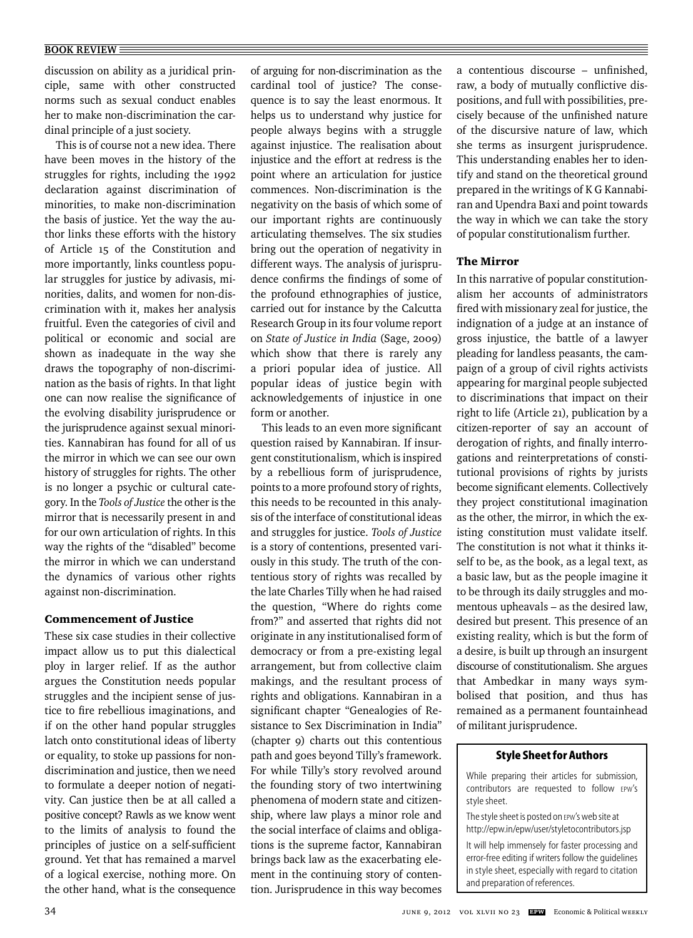discussion on ability as a juridical principle, same with other constructed norms such as sexual conduct enables her to make non-discrimination the cardinal principle of a just society.

This is of course not a new idea. There have been moves in the history of the struggles for rights, including the 1992 declaration against discrimination of minorities, to make non-discrimination the basis of justice. Yet the way the author links these efforts with the history of Article 15 of the Constitution and more importantly, links countless popular struggles for justice by adivasis, minorities, dalits, and women for non-discrimination with it, makes her analysis fruitful. Even the categories of civil and political or economic and social are shown as inadequate in the way she draws the topography of non-discrimination as the basis of rights. In that light one can now realise the significance of the evolving disability jurisprudence or the jurisprudence against sexual minorities. Kannabiran has found for all of us the mirror in which we can see our own history of struggles for rights. The other is no longer a psychic or cultural category. In the *Tools of Justice* the other is the mirror that is necessarily present in and for our own articulation of rights. In this way the rights of the "disabled" become the mirror in which we can understand the dynamics of various other rights against non-discrimination.

# Commencement of Justice

These six case studies in their collective impact allow us to put this dialectical ploy in larger relief. If as the author argues the Constitution needs popular struggles and the incipient sense of justice to fire rebellious imaginations, and if on the other hand popular struggles latch onto constitutional ideas of liberty or equality, to stoke up passions for nondiscrimination and justice, then we need to formulate a deeper notion of negativity. Can justice then be at all called a positive concept? Rawls as we know went to the limits of analysis to found the principles of justice on a self-sufficient ground. Yet that has remained a marvel of a logical exercise, nothing more. On the other hand, what is the consequence

of arguing for non-discrimination as the cardinal tool of justice? The consequence is to say the least enormous. It helps us to understand why justice for people always begins with a struggle against injustice. The realisation about injustice and the effort at redress is the point where an articulation for justice commences. Non- discrimination is the negativity on the basis of which some of our important rights are continuously articulating themselves. The six studies bring out the operation of negativity in different ways. The analysis of jurisprudence confirms the findings of some of the profound ethnographies of justice, carried out for instance by the Calcutta Research Group in its four volume report on *State of Justice in India* (Sage, 2009) which show that there is rarely any a priori popular idea of justice. All popular ideas of justice begin with acknowledgements of injustice in one form or another.

This leads to an even more significant question raised by Kannabiran. If insurgent constitutionalism, which is inspired by a rebellious form of jurisprudence, points to a more profound story of rights, this needs to be recounted in this analysis of the interface of constitutional ideas and struggles for justice. *Tools of Justice*  is a story of contentions, presented variously in this study. The truth of the contentious story of rights was recalled by the late Charles Tilly when he had raised the question, "Where do rights come from?" and asserted that rights did not originate in any institutionalised form of democracy or from a pre-existing legal arrangement, but from collective claim makings, and the resultant process of rights and obligations. Kannabiran in a significant chapter "Genealogies of Resistance to Sex Discrimination in India" (chapter 9) charts out this contentious path and goes beyond Tilly's framework. For while Tilly's story revolved around the founding story of two intertwining phenomena of modern state and citizenship, where law plays a minor role and the social interface of claims and obligations is the supreme factor, Kannabiran brings back law as the exacerbating element in the continuing story of contention. Jurisprudence in this way becomes a contentious discourse – unfinished, raw, a body of mutually conflictive dispositions, and full with possibilities, precisely because of the unfinished nature of the discursive nature of law, which she terms as insurgent jurisprudence. This understanding enables her to identify and stand on the theoretical ground prepared in the writings of K G Kannabiran and Upendra Baxi and point towards the way in which we can take the story of popular constitutionalism further.

# The Mirror

In this narrative of popular constitutionalism her accounts of administrators fired with missionary zeal for justice, the indignation of a judge at an instance of gross injustice, the battle of a lawyer pleading for landless peasants, the campaign of a group of civil rights activists appearing for marginal people subjected to discriminations that impact on their right to life (Article 21), publication by a citizen-reporter of say an account of derogation of rights, and finally interrogations and reinterpretations of constitutional provisions of rights by jurists become significant elements. Collectively they project constitutional imagination as the other, the mirror, in which the existing constitution must validate itself. The constitution is not what it thinks itself to be, as the book, as a legal text, as a basic law, but as the people imagine it to be through its daily struggles and momentous upheavals – as the desired law, desired but present*.* This presence of an existing reality, which is but the form of a desire, is built up through an insurgent discourse of constitutionalism. She argues that Ambedkar in many ways symbolised that position, and thus has remained as a permanent fountainhead of militant jurisprudence.

#### **Style Sheet for Authors**

While preparing their articles for submission, contributors are requested to follow EPW's style sheet.

The style sheet is posted on EPW's web site at http://epw.in/epw/user/styletocontributors.jsp

It will help immensely for faster processing and error-free editing if writers follow the guidelines in style sheet, especially with regard to citation and preparation of references.